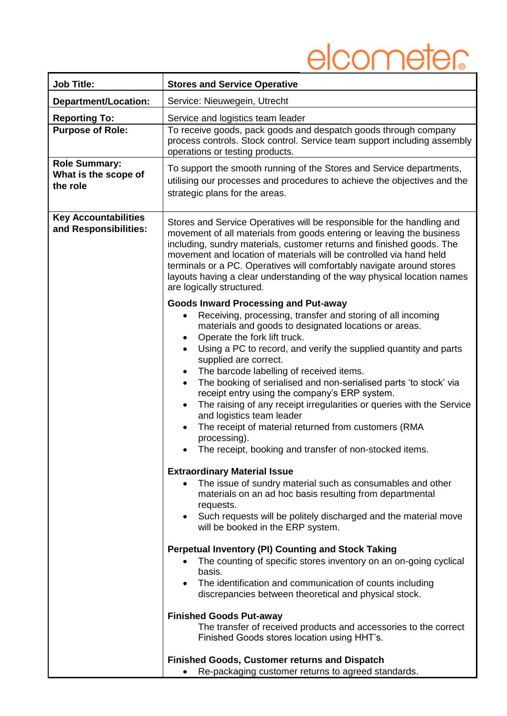## elcometer

| <b>Job Title:</b>                                               | <b>Stores and Service Operative</b>                                                                                                                                                                                                                                                                                                                                                                                                                                                                                                                                                                                                                                                                                           |  |  |
|-----------------------------------------------------------------|-------------------------------------------------------------------------------------------------------------------------------------------------------------------------------------------------------------------------------------------------------------------------------------------------------------------------------------------------------------------------------------------------------------------------------------------------------------------------------------------------------------------------------------------------------------------------------------------------------------------------------------------------------------------------------------------------------------------------------|--|--|
| <b>Department/Location:</b>                                     | Service: Nieuwegein, Utrecht                                                                                                                                                                                                                                                                                                                                                                                                                                                                                                                                                                                                                                                                                                  |  |  |
| <b>Reporting To:</b>                                            | Service and logistics team leader                                                                                                                                                                                                                                                                                                                                                                                                                                                                                                                                                                                                                                                                                             |  |  |
| <b>Purpose of Role:</b>                                         | To receive goods, pack goods and despatch goods through company<br>process controls. Stock control. Service team support including assembly<br>operations or testing products.                                                                                                                                                                                                                                                                                                                                                                                                                                                                                                                                                |  |  |
| <b>Role Summary:</b><br>What is the scope of<br>the role        | To support the smooth running of the Stores and Service departments,<br>utilising our processes and procedures to achieve the objectives and the<br>strategic plans for the areas.                                                                                                                                                                                                                                                                                                                                                                                                                                                                                                                                            |  |  |
| <b>Key Accountabilities</b><br>and Responsibilities:            | Stores and Service Operatives will be responsible for the handling and<br>movement of all materials from goods entering or leaving the business<br>including, sundry materials, customer returns and finished goods. The<br>movement and location of materials will be controlled via hand held<br>terminals or a PC. Operatives will comfortably navigate around stores<br>layouts having a clear understanding of the way physical location names<br>are logically structured.<br><b>Goods Inward Processing and Put-away</b>                                                                                                                                                                                               |  |  |
|                                                                 | Receiving, processing, transfer and storing of all incoming<br>materials and goods to designated locations or areas.<br>Operate the fork lift truck.<br>$\bullet$<br>Using a PC to record, and verify the supplied quantity and parts<br>$\bullet$<br>supplied are correct.<br>The barcode labelling of received items.<br>$\bullet$<br>The booking of serialised and non-serialised parts 'to stock' via<br>$\bullet$<br>receipt entry using the company's ERP system.<br>The raising of any receipt irregularities or queries with the Service<br>$\bullet$<br>and logistics team leader<br>The receipt of material returned from customers (RMA<br>processing).<br>The receipt, booking and transfer of non-stocked items. |  |  |
|                                                                 | <b>Extraordinary Material Issue</b><br>The issue of sundry material such as consumables and other<br>materials on an ad hoc basis resulting from departmental<br>requests.<br>• Such requests will be politely discharged and the material move<br>will be booked in the ERP system.                                                                                                                                                                                                                                                                                                                                                                                                                                          |  |  |
|                                                                 | <b>Perpetual Inventory (PI) Counting and Stock Taking</b><br>The counting of specific stores inventory on an on-going cyclical<br>basis.<br>The identification and communication of counts including<br>$\bullet$<br>discrepancies between theoretical and physical stock.<br><b>Finished Goods Put-away</b><br>The transfer of received products and accessories to the correct                                                                                                                                                                                                                                                                                                                                              |  |  |
|                                                                 | Finished Goods stores location using HHT's.<br><b>Finished Goods, Customer returns and Dispatch</b>                                                                                                                                                                                                                                                                                                                                                                                                                                                                                                                                                                                                                           |  |  |
| Re-packaging customer returns to agreed standards.<br>$\bullet$ |                                                                                                                                                                                                                                                                                                                                                                                                                                                                                                                                                                                                                                                                                                                               |  |  |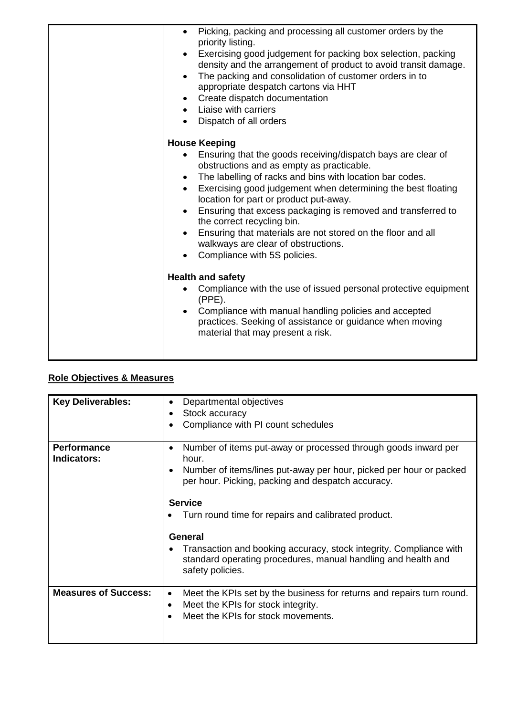| Picking, packing and processing all customer orders by the<br>$\bullet$<br>priority listing.<br>Exercising good judgement for packing box selection, packing<br>density and the arrangement of product to avoid transit damage.<br>The packing and consolidation of customer orders in to<br>$\bullet$<br>appropriate despatch cartons via HHT<br>Create dispatch documentation<br>$\bullet$<br>• Liaise with carriers<br>Dispatch of all orders<br>$\bullet$                                                                                            |
|----------------------------------------------------------------------------------------------------------------------------------------------------------------------------------------------------------------------------------------------------------------------------------------------------------------------------------------------------------------------------------------------------------------------------------------------------------------------------------------------------------------------------------------------------------|
|                                                                                                                                                                                                                                                                                                                                                                                                                                                                                                                                                          |
| <b>House Keeping</b><br>Ensuring that the goods receiving/dispatch bays are clear of<br>obstructions and as empty as practicable.<br>The labelling of racks and bins with location bar codes.<br>Exercising good judgement when determining the best floating<br>$\bullet$<br>location for part or product put-away.<br>Ensuring that excess packaging is removed and transferred to<br>the correct recycling bin.<br>Ensuring that materials are not stored on the floor and all<br>walkways are clear of obstructions.<br>Compliance with 5S policies. |
| <b>Health and safety</b>                                                                                                                                                                                                                                                                                                                                                                                                                                                                                                                                 |
| Compliance with the use of issued personal protective equipment<br>$\bullet$<br>$(PPE)$ .<br>Compliance with manual handling policies and accepted<br>practices. Seeking of assistance or guidance when moving<br>material that may present a risk.                                                                                                                                                                                                                                                                                                      |

## **Role Objectives & Measures**

| <b>Key Deliverables:</b>          | Departmental objectives<br>$\bullet$<br>Stock accuracy<br>Compliance with PI count schedules<br>$\bullet$                                                                                                                    |  |  |  |
|-----------------------------------|------------------------------------------------------------------------------------------------------------------------------------------------------------------------------------------------------------------------------|--|--|--|
| <b>Performance</b><br>Indicators: | Number of items put-away or processed through goods inward per<br>$\bullet$<br>hour.<br>Number of items/lines put-away per hour, picked per hour or packed<br>$\bullet$<br>per hour. Picking, packing and despatch accuracy. |  |  |  |
|                                   | <b>Service</b><br>Turn round time for repairs and calibrated product.<br><b>General</b>                                                                                                                                      |  |  |  |
|                                   | Transaction and booking accuracy, stock integrity. Compliance with<br>standard operating procedures, manual handling and health and<br>safety policies.                                                                      |  |  |  |
| <b>Measures of Success:</b>       | Meet the KPIs set by the business for returns and repairs turn round.<br>$\bullet$<br>Meet the KPIs for stock integrity.<br>٠<br>Meet the KPIs for stock movements.                                                          |  |  |  |